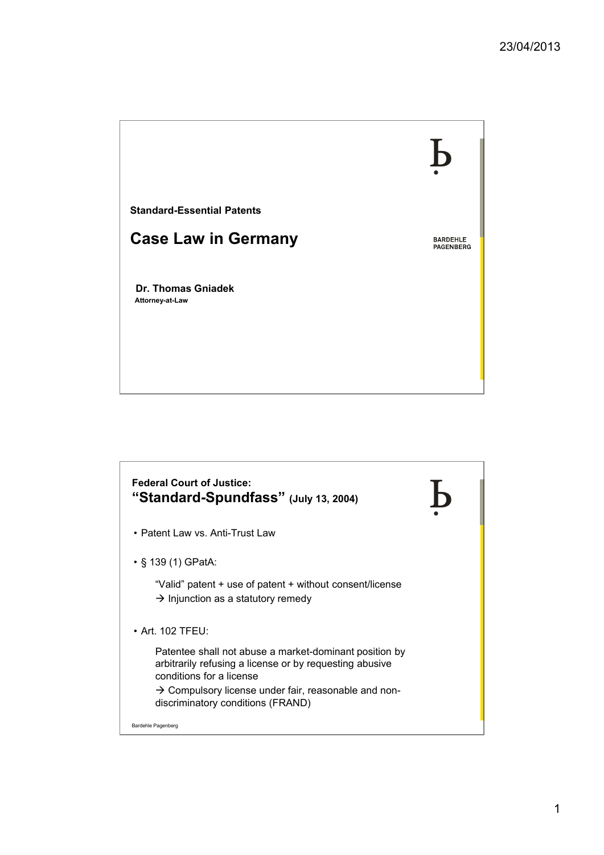

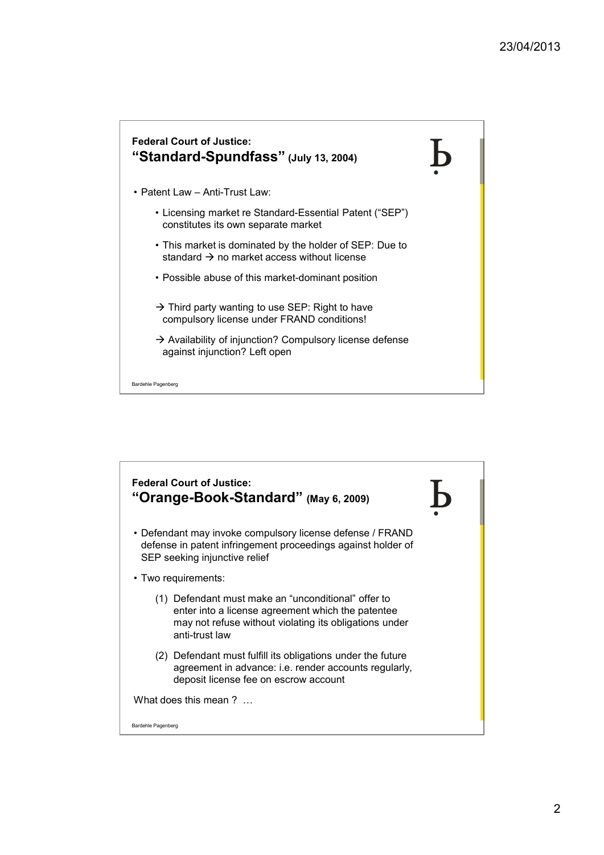

Bardehle Pagenberg

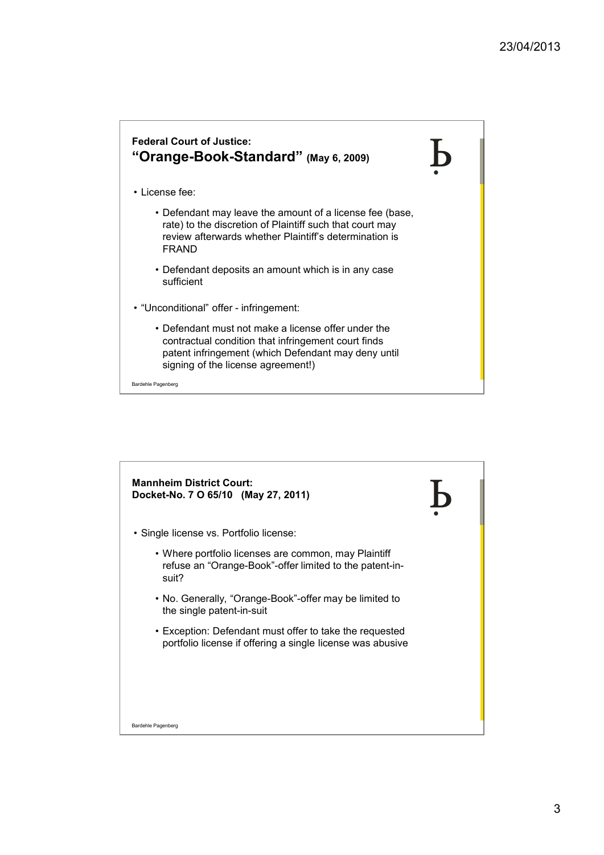## **Federal Court of Justice: "Orange-Book-Standard" (May 6, 2009)**

- License fee:
	- Defendant may leave the amount of a license fee (base, rate) to the discretion of Plaintiff such that court may review afterwards whether Plaintiff's determination is FRAND
	- Defendant deposits an amount which is in any case sufficient
- "Unconditional" offer infringement:
	- Defendant must not make a license offer under the contractual condition that infringement court finds patent infringement (which Defendant may deny until signing of the license agreement!)

Bardehle Pagenberg

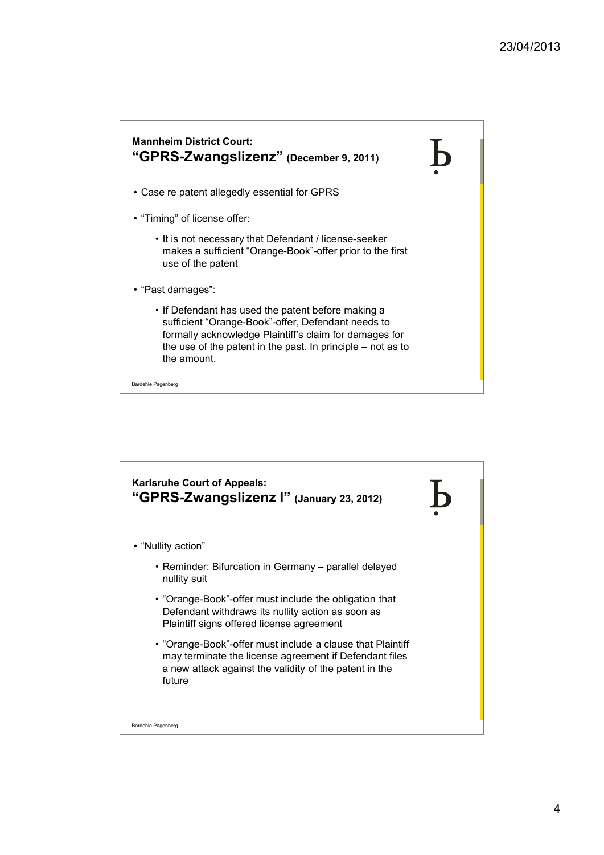

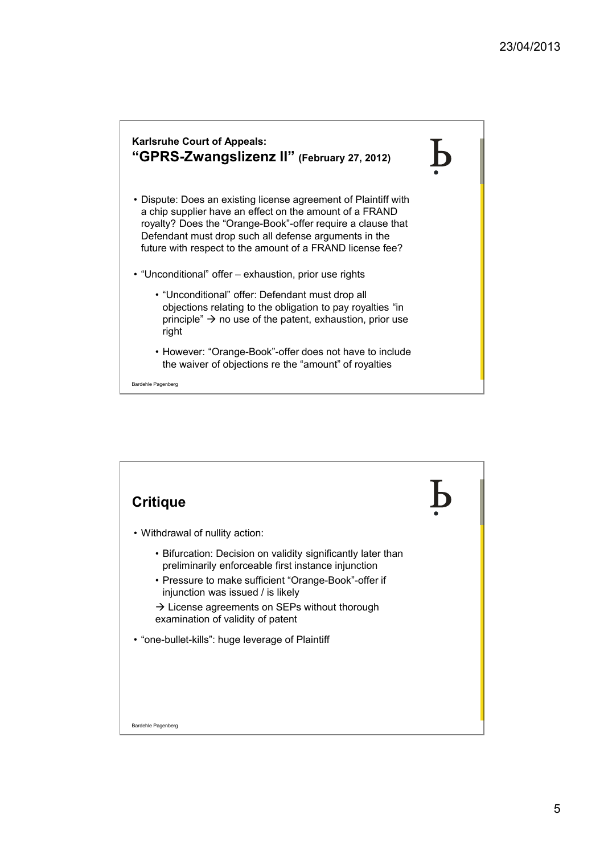

- Dispute: Does an existing license agreement of Plaintiff with a chip supplier have an effect on the amount of a FRAND royalty? Does the "Orange-Book"-offer require a clause that Defendant must drop such all defense arguments in the future with respect to the amount of a FRAND license fee?
- "Unconditional" offer exhaustion, prior use rights
	- "Unconditional" offer: Defendant must drop all objections relating to the obligation to pay royalties "in principle"  $\rightarrow$  no use of the patent, exhaustion, prior use right
	- However: "Orange-Book"-offer does not have to include the waiver of objections re the "amount" of royalties

Bardehle Pagenberg